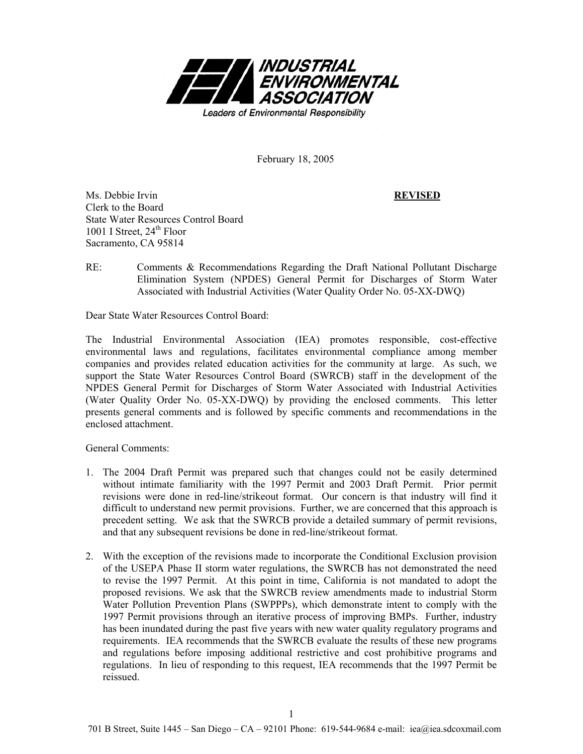

February 18, 2005

Ms. Debbie Irvin **REVISED** Clerk to the Board State Water Resources Control Board 1001 I Street,  $24<sup>th</sup>$  Floor Sacramento, CA 95814

RE: Comments & Recommendations Regarding the Draft National Pollutant Discharge Elimination System (NPDES) General Permit for Discharges of Storm Water Associated with Industrial Activities (Water Quality Order No. 05-XX-DWQ)

Dear State Water Resources Control Board:

The Industrial Environmental Association (IEA) promotes responsible, cost-effective environmental laws and regulations, facilitates environmental compliance among member companies and provides related education activities for the community at large. As such, we support the State Water Resources Control Board (SWRCB) staff in the development of the NPDES General Permit for Discharges of Storm Water Associated with Industrial Activities (Water Quality Order No. 05-XX-DWQ) by providing the enclosed comments. This letter presents general comments and is followed by specific comments and recommendations in the enclosed attachment.

General Comments:

- 1. The 2004 Draft Permit was prepared such that changes could not be easily determined without intimate familiarity with the 1997 Permit and 2003 Draft Permit. Prior permit revisions were done in red-line/strikeout format. Our concern is that industry will find it difficult to understand new permit provisions. Further, we are concerned that this approach is precedent setting. We ask that the SWRCB provide a detailed summary of permit revisions, and that any subsequent revisions be done in red-line/strikeout format.
- 2. With the exception of the revisions made to incorporate the Conditional Exclusion provision of the USEPA Phase II storm water regulations, the SWRCB has not demonstrated the need to revise the 1997 Permit. At this point in time, California is not mandated to adopt the proposed revisions. We ask that the SWRCB review amendments made to industrial Storm Water Pollution Prevention Plans (SWPPPs), which demonstrate intent to comply with the 1997 Permit provisions through an iterative process of improving BMPs. Further, industry has been inundated during the past five years with new water quality regulatory programs and requirements. IEA recommends that the SWRCB evaluate the results of these new programs and regulations before imposing additional restrictive and cost prohibitive programs and regulations. In lieu of responding to this request, IEA recommends that the 1997 Permit be reissued.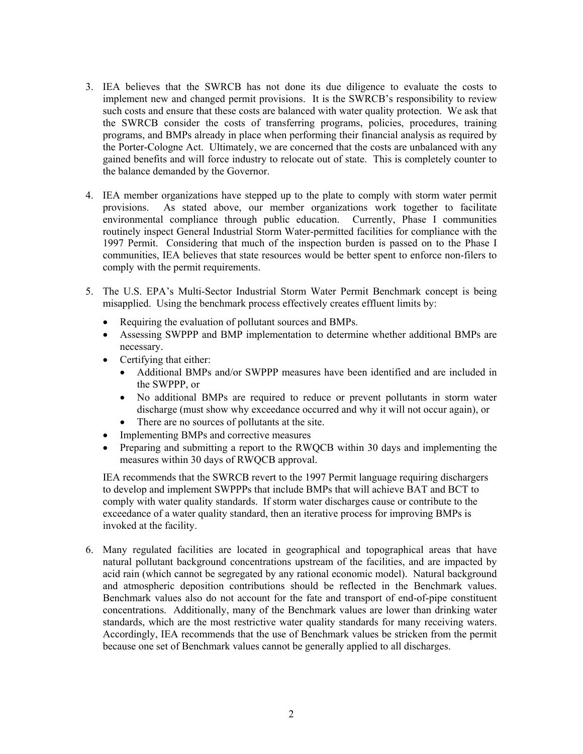- 3. IEA believes that the SWRCB has not done its due diligence to evaluate the costs to implement new and changed permit provisions. It is the SWRCB's responsibility to review such costs and ensure that these costs are balanced with water quality protection. We ask that the SWRCB consider the costs of transferring programs, policies, procedures, training programs, and BMPs already in place when performing their financial analysis as required by the Porter-Cologne Act. Ultimately, we are concerned that the costs are unbalanced with any gained benefits and will force industry to relocate out of state. This is completely counter to the balance demanded by the Governor.
- 4. IEA member organizations have stepped up to the plate to comply with storm water permit provisions. As stated above, our member organizations work together to facilitate environmental compliance through public education. Currently, Phase I communities routinely inspect General Industrial Storm Water-permitted facilities for compliance with the 1997 Permit. Considering that much of the inspection burden is passed on to the Phase I communities, IEA believes that state resources would be better spent to enforce non-filers to comply with the permit requirements.
- 5. The U.S. EPA's Multi-Sector Industrial Storm Water Permit Benchmark concept is being misapplied. Using the benchmark process effectively creates effluent limits by:
	- Requiring the evaluation of pollutant sources and BMPs.
	- Assessing SWPPP and BMP implementation to determine whether additional BMPs are necessary.
	- Certifying that either:
		- Additional BMPs and/or SWPPP measures have been identified and are included in the SWPPP, or
		- No additional BMPs are required to reduce or prevent pollutants in storm water discharge (must show why exceedance occurred and why it will not occur again), or
		- There are no sources of pollutants at the site.
	- Implementing BMPs and corrective measures
	- Preparing and submitting a report to the RWQCB within 30 days and implementing the measures within 30 days of RWQCB approval.

IEA recommends that the SWRCB revert to the 1997 Permit language requiring dischargers to develop and implement SWPPPs that include BMPs that will achieve BAT and BCT to comply with water quality standards. If storm water discharges cause or contribute to the exceedance of a water quality standard, then an iterative process for improving BMPs is invoked at the facility.

6. Many regulated facilities are located in geographical and topographical areas that have natural pollutant background concentrations upstream of the facilities, and are impacted by acid rain (which cannot be segregated by any rational economic model). Natural background and atmospheric deposition contributions should be reflected in the Benchmark values. Benchmark values also do not account for the fate and transport of end-of-pipe constituent concentrations. Additionally, many of the Benchmark values are lower than drinking water standards, which are the most restrictive water quality standards for many receiving waters. Accordingly, IEA recommends that the use of Benchmark values be stricken from the permit because one set of Benchmark values cannot be generally applied to all discharges.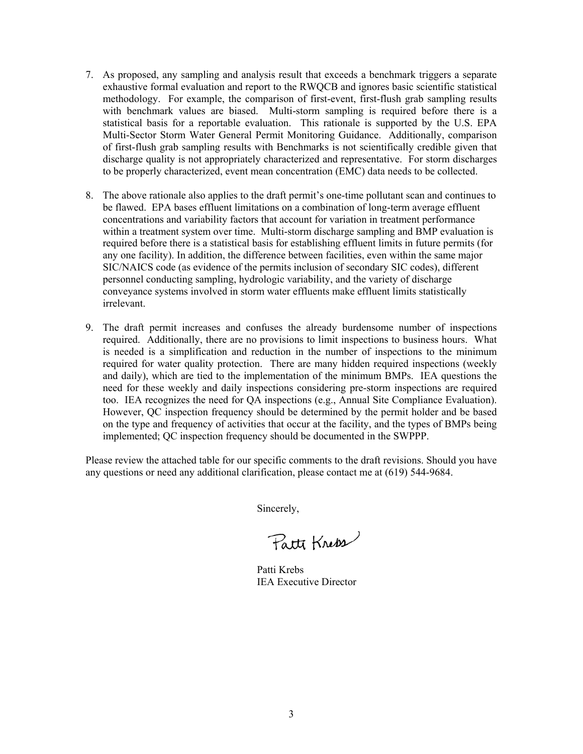- 7. As proposed, any sampling and analysis result that exceeds a benchmark triggers a separate exhaustive formal evaluation and report to the RWQCB and ignores basic scientific statistical methodology. For example, the comparison of first-event, first-flush grab sampling results with benchmark values are biased. Multi-storm sampling is required before there is a statistical basis for a reportable evaluation. This rationale is supported by the U.S. EPA Multi-Sector Storm Water General Permit Monitoring Guidance. Additionally, comparison of first-flush grab sampling results with Benchmarks is not scientifically credible given that discharge quality is not appropriately characterized and representative. For storm discharges to be properly characterized, event mean concentration (EMC) data needs to be collected.
- 8. The above rationale also applies to the draft permit's one-time pollutant scan and continues to be flawed. EPA bases effluent limitations on a combination of long-term average effluent concentrations and variability factors that account for variation in treatment performance within a treatment system over time. Multi-storm discharge sampling and BMP evaluation is required before there is a statistical basis for establishing effluent limits in future permits (for any one facility). In addition, the difference between facilities, even within the same major SIC/NAICS code (as evidence of the permits inclusion of secondary SIC codes), different personnel conducting sampling, hydrologic variability, and the variety of discharge conveyance systems involved in storm water effluents make effluent limits statistically irrelevant.
- 9. The draft permit increases and confuses the already burdensome number of inspections required. Additionally, there are no provisions to limit inspections to business hours. What is needed is a simplification and reduction in the number of inspections to the minimum required for water quality protection. There are many hidden required inspections (weekly and daily), which are tied to the implementation of the minimum BMPs. IEA questions the need for these weekly and daily inspections considering pre-storm inspections are required too. IEA recognizes the need for QA inspections (e.g., Annual Site Compliance Evaluation). However, QC inspection frequency should be determined by the permit holder and be based on the type and frequency of activities that occur at the facility, and the types of BMPs being implemented; QC inspection frequency should be documented in the SWPPP.

Please review the attached table for our specific comments to the draft revisions. Should you have any questions or need any additional clarification, please contact me at (619) 544-9684.

Sincerely,

Patti Kneps

Patti Krebs IEA Executive Director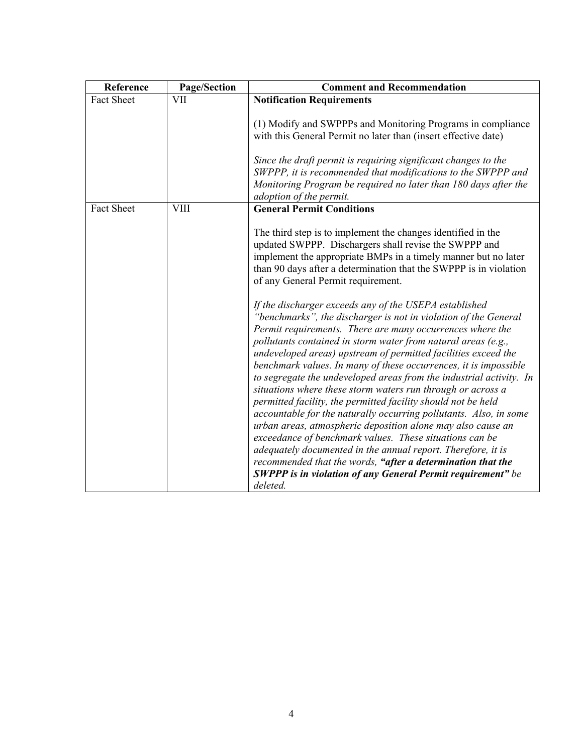| Reference         | Page/Section | <b>Comment and Recommendation</b>                                                                                                                                                                                                                                                                                                                                                                                                                                                                                                                                                                                                                                                                                                                                                                                                                                                                                                                                                                                    |
|-------------------|--------------|----------------------------------------------------------------------------------------------------------------------------------------------------------------------------------------------------------------------------------------------------------------------------------------------------------------------------------------------------------------------------------------------------------------------------------------------------------------------------------------------------------------------------------------------------------------------------------------------------------------------------------------------------------------------------------------------------------------------------------------------------------------------------------------------------------------------------------------------------------------------------------------------------------------------------------------------------------------------------------------------------------------------|
| <b>Fact Sheet</b> | VII          | <b>Notification Requirements</b>                                                                                                                                                                                                                                                                                                                                                                                                                                                                                                                                                                                                                                                                                                                                                                                                                                                                                                                                                                                     |
|                   |              | (1) Modify and SWPPPs and Monitoring Programs in compliance<br>with this General Permit no later than (insert effective date)                                                                                                                                                                                                                                                                                                                                                                                                                                                                                                                                                                                                                                                                                                                                                                                                                                                                                        |
|                   |              | Since the draft permit is requiring significant changes to the<br>SWPPP, it is recommended that modifications to the SWPPP and<br>Monitoring Program be required no later than 180 days after the                                                                                                                                                                                                                                                                                                                                                                                                                                                                                                                                                                                                                                                                                                                                                                                                                    |
|                   |              | adoption of the permit.                                                                                                                                                                                                                                                                                                                                                                                                                                                                                                                                                                                                                                                                                                                                                                                                                                                                                                                                                                                              |
| <b>Fact Sheet</b> | <b>VIII</b>  | <b>General Permit Conditions</b>                                                                                                                                                                                                                                                                                                                                                                                                                                                                                                                                                                                                                                                                                                                                                                                                                                                                                                                                                                                     |
|                   |              | The third step is to implement the changes identified in the<br>updated SWPPP. Dischargers shall revise the SWPPP and<br>implement the appropriate BMPs in a timely manner but no later<br>than 90 days after a determination that the SWPPP is in violation<br>of any General Permit requirement.                                                                                                                                                                                                                                                                                                                                                                                                                                                                                                                                                                                                                                                                                                                   |
|                   |              | If the discharger exceeds any of the USEPA established<br>"benchmarks", the discharger is not in violation of the General<br>Permit requirements. There are many occurrences where the<br>pollutants contained in storm water from natural areas (e.g.,<br>undeveloped areas) upstream of permitted facilities exceed the<br>benchmark values. In many of these occurrences, it is impossible<br>to segregate the undeveloped areas from the industrial activity. In<br>situations where these storm waters run through or across a<br>permitted facility, the permitted facility should not be held<br>accountable for the naturally occurring pollutants. Also, in some<br>urban areas, atmospheric deposition alone may also cause an<br>exceedance of benchmark values. These situations can be<br>adequately documented in the annual report. Therefore, it is<br>recommended that the words, "after a determination that the<br><b>SWPPP</b> is in violation of any General Permit requirement" be<br>deleted. |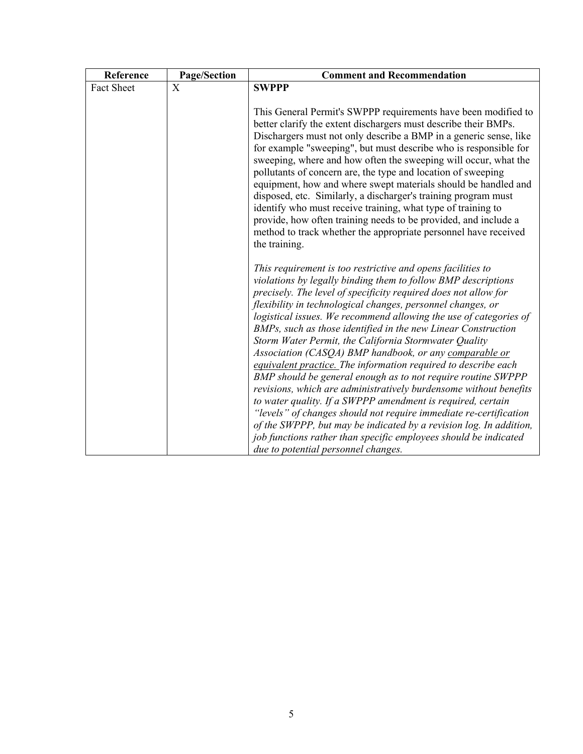| Reference  | Page/Section   | <b>Comment and Recommendation</b>                                                                                                                                                                                                                                                                                                                                                                                                                                                                                                                                                                                                                                                                                                                                                                                                                                                                                                                                                                                                                   |
|------------|----------------|-----------------------------------------------------------------------------------------------------------------------------------------------------------------------------------------------------------------------------------------------------------------------------------------------------------------------------------------------------------------------------------------------------------------------------------------------------------------------------------------------------------------------------------------------------------------------------------------------------------------------------------------------------------------------------------------------------------------------------------------------------------------------------------------------------------------------------------------------------------------------------------------------------------------------------------------------------------------------------------------------------------------------------------------------------|
| Fact Sheet | $\overline{X}$ | <b>SWPPP</b>                                                                                                                                                                                                                                                                                                                                                                                                                                                                                                                                                                                                                                                                                                                                                                                                                                                                                                                                                                                                                                        |
|            |                | This General Permit's SWPPP requirements have been modified to<br>better clarify the extent dischargers must describe their BMPs.<br>Dischargers must not only describe a BMP in a generic sense, like<br>for example "sweeping", but must describe who is responsible for<br>sweeping, where and how often the sweeping will occur, what the<br>pollutants of concern are, the type and location of sweeping<br>equipment, how and where swept materials should be handled and<br>disposed, etc. Similarly, a discharger's training program must<br>identify who must receive training, what type of training to<br>provide, how often training needs to be provided, and include a<br>method to track whether the appropriate personnel have received<br>the training.                                                                                                                                                                                                                                                                            |
|            |                | This requirement is too restrictive and opens facilities to<br>violations by legally binding them to follow BMP descriptions<br>precisely. The level of specificity required does not allow for<br>flexibility in technological changes, personnel changes, or<br>logistical issues. We recommend allowing the use of categories of<br>BMPs, such as those identified in the new Linear Construction<br>Storm Water Permit, the California Stormwater Quality<br>Association (CASQA) BMP handbook, or any comparable or<br>equivalent practice. The information required to describe each<br>BMP should be general enough as to not require routine SWPPP<br>revisions, which are administratively burdensome without benefits<br>to water quality. If a SWPPP amendment is required, certain<br>"levels" of changes should not require immediate re-certification<br>of the SWPPP, but may be indicated by a revision log. In addition,<br>job functions rather than specific employees should be indicated<br>due to potential personnel changes. |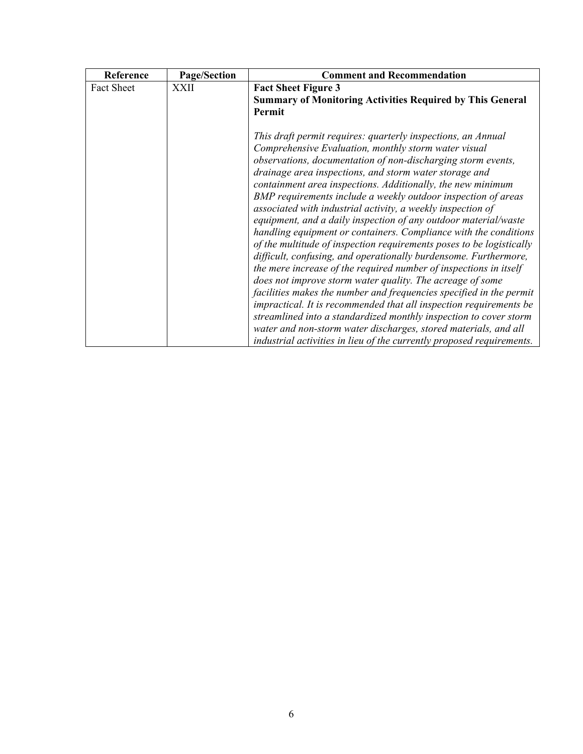| <b>Page/Section</b> | <b>Comment and Recommendation</b>                                                                                                        |
|---------------------|------------------------------------------------------------------------------------------------------------------------------------------|
| <b>XXII</b>         | <b>Fact Sheet Figure 3</b><br><b>Summary of Monitoring Activities Required by This General</b>                                           |
|                     | Permit<br>This draft permit requires: quarterly inspections, an Annual                                                                   |
|                     | Comprehensive Evaluation, monthly storm water visual                                                                                     |
|                     | observations, documentation of non-discharging storm events,                                                                             |
|                     | drainage area inspections, and storm water storage and<br>containment area inspections. Additionally, the new minimum                    |
|                     | BMP requirements include a weekly outdoor inspection of areas                                                                            |
|                     | associated with industrial activity, a weekly inspection of                                                                              |
|                     | equipment, and a daily inspection of any outdoor material/waste<br>handling equipment or containers. Compliance with the conditions      |
|                     | of the multitude of inspection requirements poses to be logistically                                                                     |
|                     | difficult, confusing, and operationally burdensome. Furthermore,                                                                         |
|                     | the mere increase of the required number of inspections in itself<br>does not improve storm water quality. The acreage of some           |
|                     | facilities makes the number and frequencies specified in the permit                                                                      |
|                     | impractical. It is recommended that all inspection requirements be                                                                       |
|                     | streamlined into a standardized monthly inspection to cover storm                                                                        |
|                     | water and non-storm water discharges, stored materials, and all<br>industrial activities in lieu of the currently proposed requirements. |
|                     |                                                                                                                                          |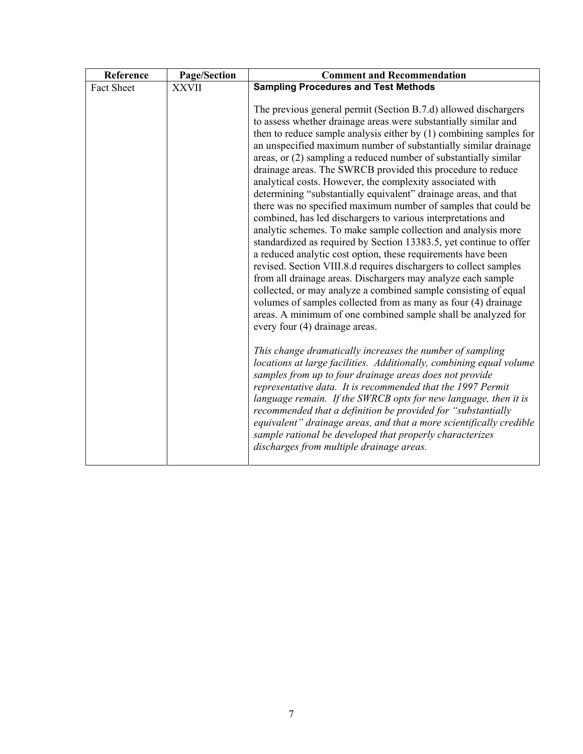| Reference         | Page/Section | <b>Comment and Recommendation</b>                                                                                                                                                                                                                                                                                                                                                                                                                                                                                                                                                                                                                                                                                                                                                                                                                                                                                                                                                                                                                                                                                                                                                                                                                                                                                                                                                                                                                                                                                                    |
|-------------------|--------------|--------------------------------------------------------------------------------------------------------------------------------------------------------------------------------------------------------------------------------------------------------------------------------------------------------------------------------------------------------------------------------------------------------------------------------------------------------------------------------------------------------------------------------------------------------------------------------------------------------------------------------------------------------------------------------------------------------------------------------------------------------------------------------------------------------------------------------------------------------------------------------------------------------------------------------------------------------------------------------------------------------------------------------------------------------------------------------------------------------------------------------------------------------------------------------------------------------------------------------------------------------------------------------------------------------------------------------------------------------------------------------------------------------------------------------------------------------------------------------------------------------------------------------------|
| <b>Fact Sheet</b> | <b>XXVII</b> | <b>Sampling Procedures and Test Methods</b>                                                                                                                                                                                                                                                                                                                                                                                                                                                                                                                                                                                                                                                                                                                                                                                                                                                                                                                                                                                                                                                                                                                                                                                                                                                                                                                                                                                                                                                                                          |
|                   |              | The previous general permit (Section B.7.d) allowed dischargers<br>to assess whether drainage areas were substantially similar and<br>then to reduce sample analysis either by $(1)$ combining samples for<br>an unspecified maximum number of substantially similar drainage<br>areas, or (2) sampling a reduced number of substantially similar<br>drainage areas. The SWRCB provided this procedure to reduce<br>analytical costs. However, the complexity associated with<br>determining "substantially equivalent" drainage areas, and that<br>there was no specified maximum number of samples that could be<br>combined, has led dischargers to various interpretations and<br>analytic schemes. To make sample collection and analysis more<br>standardized as required by Section 13383.5, yet continue to offer<br>a reduced analytic cost option, these requirements have been<br>revised. Section VIII.8.d requires dischargers to collect samples<br>from all drainage areas. Dischargers may analyze each sample<br>collected, or may analyze a combined sample consisting of equal<br>volumes of samples collected from as many as four (4) drainage<br>areas. A minimum of one combined sample shall be analyzed for<br>every four (4) drainage areas.<br>This change dramatically increases the number of sampling<br>locations at large facilities. Additionally, combining equal volume<br>samples from up to four drainage areas does not provide<br>representative data. It is recommended that the 1997 Permit |
|                   |              | language remain. If the SWRCB opts for new language, then it is<br>recommended that a definition be provided for "substantially<br>equivalent" drainage areas, and that a more scientifically credible<br>sample rational be developed that properly characterizes<br>discharges from multiple drainage areas.                                                                                                                                                                                                                                                                                                                                                                                                                                                                                                                                                                                                                                                                                                                                                                                                                                                                                                                                                                                                                                                                                                                                                                                                                       |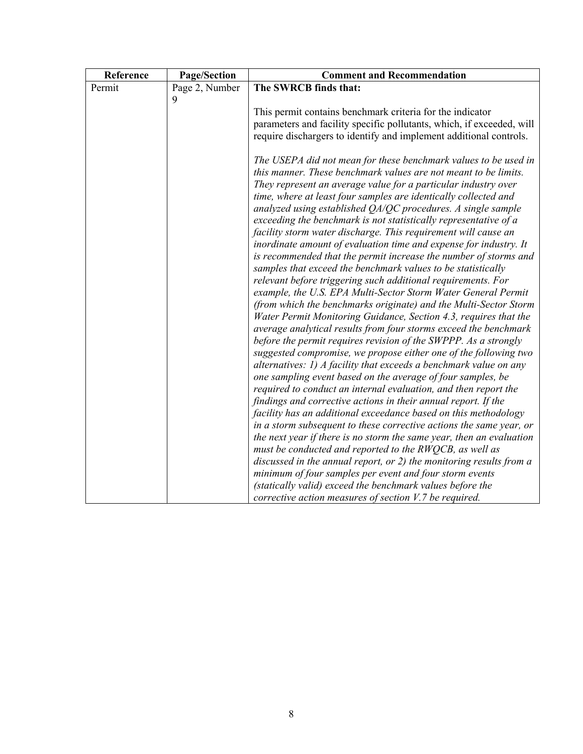| Reference | <b>Page/Section</b> | <b>Comment and Recommendation</b>                                                                                                 |
|-----------|---------------------|-----------------------------------------------------------------------------------------------------------------------------------|
| Permit    | Page 2, Number      | The SWRCB finds that:                                                                                                             |
|           | $\mathbf Q$         |                                                                                                                                   |
|           |                     | This permit contains benchmark criteria for the indicator                                                                         |
|           |                     | parameters and facility specific pollutants, which, if exceeded, will                                                             |
|           |                     | require dischargers to identify and implement additional controls.                                                                |
|           |                     | The USEPA did not mean for these benchmark values to be used in                                                                   |
|           |                     | this manner. These benchmark values are not meant to be limits.                                                                   |
|           |                     | They represent an average value for a particular industry over                                                                    |
|           |                     | time, where at least four samples are identically collected and                                                                   |
|           |                     | analyzed using established $QA/QC$ procedures. A single sample                                                                    |
|           |                     | exceeding the benchmark is not statistically representative of a                                                                  |
|           |                     | facility storm water discharge. This requirement will cause an                                                                    |
|           |                     | inordinate amount of evaluation time and expense for industry. It                                                                 |
|           |                     | is recommended that the permit increase the number of storms and                                                                  |
|           |                     | samples that exceed the benchmark values to be statistically                                                                      |
|           |                     | relevant before triggering such additional requirements. For                                                                      |
|           |                     | example, the U.S. EPA Multi-Sector Storm Water General Permit<br>(from which the benchmarks originate) and the Multi-Sector Storm |
|           |                     | Water Permit Monitoring Guidance, Section 4.3, requires that the                                                                  |
|           |                     | average analytical results from four storms exceed the benchmark                                                                  |
|           |                     | before the permit requires revision of the SWPPP. As a strongly                                                                   |
|           |                     | suggested compromise, we propose either one of the following two                                                                  |
|           |                     | alternatives: 1) A facility that exceeds a benchmark value on any                                                                 |
|           |                     | one sampling event based on the average of four samples, be                                                                       |
|           |                     | required to conduct an internal evaluation, and then report the                                                                   |
|           |                     | findings and corrective actions in their annual report. If the                                                                    |
|           |                     | facility has an additional exceedance based on this methodology                                                                   |
|           |                     | in a storm subsequent to these corrective actions the same year, or                                                               |
|           |                     | the next year if there is no storm the same year, then an evaluation                                                              |
|           |                     | must be conducted and reported to the RWQCB, as well as                                                                           |
|           |                     | discussed in the annual report, or 2) the monitoring results from a                                                               |
|           |                     | minimum of four samples per event and four storm events                                                                           |
|           |                     | (statically valid) exceed the benchmark values before the                                                                         |
|           |                     | corrective action measures of section $V.7$ be required.                                                                          |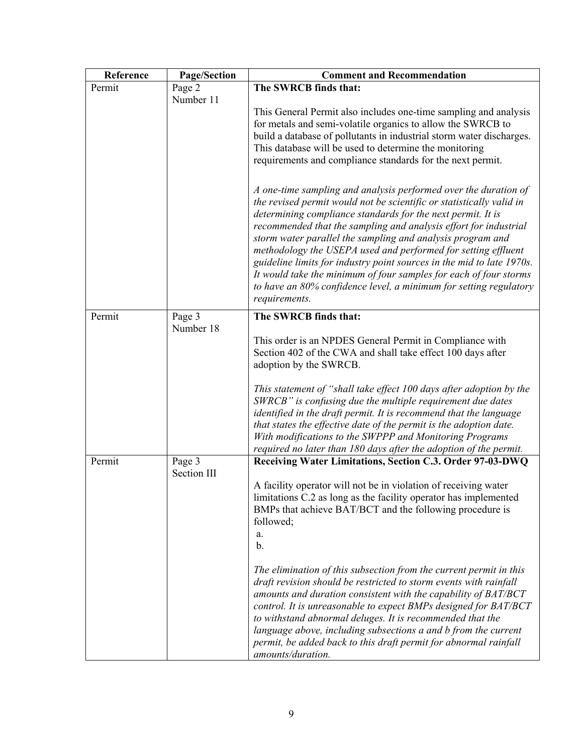| Reference | Page/Section | <b>Comment and Recommendation</b>                                                                                                                                                                                                                                                                                                                                                                                                                                                                                                                                                                                                             |
|-----------|--------------|-----------------------------------------------------------------------------------------------------------------------------------------------------------------------------------------------------------------------------------------------------------------------------------------------------------------------------------------------------------------------------------------------------------------------------------------------------------------------------------------------------------------------------------------------------------------------------------------------------------------------------------------------|
| Permit    | Page 2       | The SWRCB finds that:                                                                                                                                                                                                                                                                                                                                                                                                                                                                                                                                                                                                                         |
|           | Number 11    | This General Permit also includes one-time sampling and analysis<br>for metals and semi-volatile organics to allow the SWRCB to<br>build a database of pollutants in industrial storm water discharges.<br>This database will be used to determine the monitoring<br>requirements and compliance standards for the next permit.                                                                                                                                                                                                                                                                                                               |
|           |              | A one-time sampling and analysis performed over the duration of<br>the revised permit would not be scientific or statistically valid in<br>determining compliance standards for the next permit. It is<br>recommended that the sampling and analysis effort for industrial<br>storm water parallel the sampling and analysis program and<br>methodology the USEPA used and performed for setting effluent<br>guideline limits for industry point sources in the mid to late 1970s.<br>It would take the minimum of four samples for each of four storms<br>to have an 80% confidence level, a minimum for setting regulatory<br>requirements. |
| Permit    | Page 3       | The SWRCB finds that:                                                                                                                                                                                                                                                                                                                                                                                                                                                                                                                                                                                                                         |
|           | Number 18    | This order is an NPDES General Permit in Compliance with<br>Section 402 of the CWA and shall take effect 100 days after<br>adoption by the SWRCB.                                                                                                                                                                                                                                                                                                                                                                                                                                                                                             |
|           |              | This statement of "shall take effect 100 days after adoption by the<br>SWRCB" is confusing due the multiple requirement due dates<br>identified in the draft permit. It is recommend that the language<br>that states the effective date of the permit is the adoption date.<br>With modifications to the SWPPP and Monitoring Programs<br>required no later than 180 days after the adoption of the permit.                                                                                                                                                                                                                                  |
| Permit    | Page 3       | Receiving Water Limitations, Section C.3. Order 97-03-DWQ                                                                                                                                                                                                                                                                                                                                                                                                                                                                                                                                                                                     |
|           | Section III  | A facility operator will not be in violation of receiving water<br>limitations C.2 as long as the facility operator has implemented<br>BMPs that achieve BAT/BCT and the following procedure is<br>followed;<br>a.<br>$\mathbf{b}$ .                                                                                                                                                                                                                                                                                                                                                                                                          |
|           |              | The elimination of this subsection from the current permit in this<br>draft revision should be restricted to storm events with rainfall<br>amounts and duration consistent with the capability of BAT/BCT<br>control. It is unreasonable to expect BMPs designed for BAT/BCT<br>to withstand abnormal deluges. It is recommended that the<br>language above, including subsections a and b from the current<br>permit, be added back to this draft permit for abnormal rainfall<br>amounts/duration.                                                                                                                                          |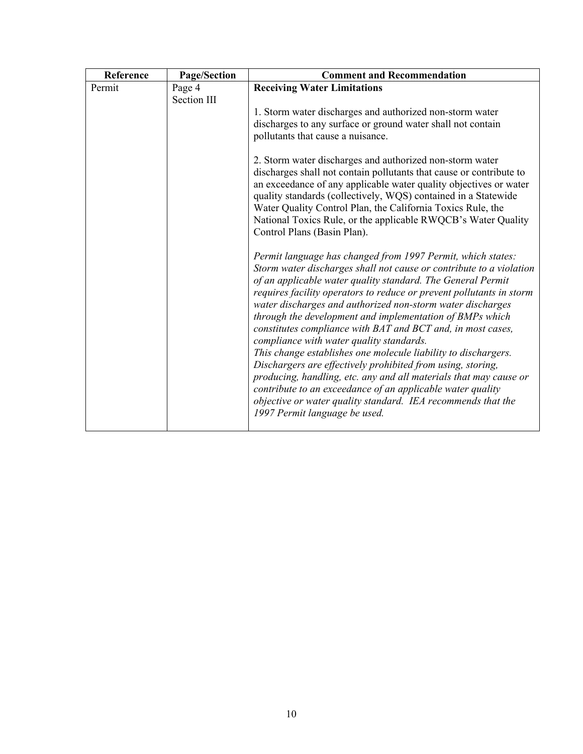| Reference | Page/Section | <b>Comment and Recommendation</b>                                                                                            |
|-----------|--------------|------------------------------------------------------------------------------------------------------------------------------|
| Permit    | Page 4       | <b>Receiving Water Limitations</b>                                                                                           |
|           | Section III  |                                                                                                                              |
|           |              | 1. Storm water discharges and authorized non-storm water                                                                     |
|           |              | discharges to any surface or ground water shall not contain                                                                  |
|           |              | pollutants that cause a nuisance.                                                                                            |
|           |              |                                                                                                                              |
|           |              | 2. Storm water discharges and authorized non-storm water                                                                     |
|           |              | discharges shall not contain pollutants that cause or contribute to                                                          |
|           |              | an exceedance of any applicable water quality objectives or water                                                            |
|           |              | quality standards (collectively, WQS) contained in a Statewide                                                               |
|           |              | Water Quality Control Plan, the California Toxics Rule, the<br>National Toxics Rule, or the applicable RWQCB's Water Quality |
|           |              | Control Plans (Basin Plan).                                                                                                  |
|           |              |                                                                                                                              |
|           |              | Permit language has changed from 1997 Permit, which states:                                                                  |
|           |              | Storm water discharges shall not cause or contribute to a violation                                                          |
|           |              | of an applicable water quality standard. The General Permit                                                                  |
|           |              | requires facility operators to reduce or prevent pollutants in storm                                                         |
|           |              | water discharges and authorized non-storm water discharges                                                                   |
|           |              | through the development and implementation of BMPs which                                                                     |
|           |              | constitutes compliance with BAT and BCT and, in most cases,                                                                  |
|           |              | compliance with water quality standards.                                                                                     |
|           |              | This change establishes one molecule liability to dischargers.                                                               |
|           |              | Dischargers are effectively prohibited from using, storing,                                                                  |
|           |              | producing, handling, etc. any and all materials that may cause or                                                            |
|           |              | contribute to an exceedance of an applicable water quality                                                                   |
|           |              | objective or water quality standard. IEA recommends that the                                                                 |
|           |              |                                                                                                                              |
|           |              | 1997 Permit language be used.                                                                                                |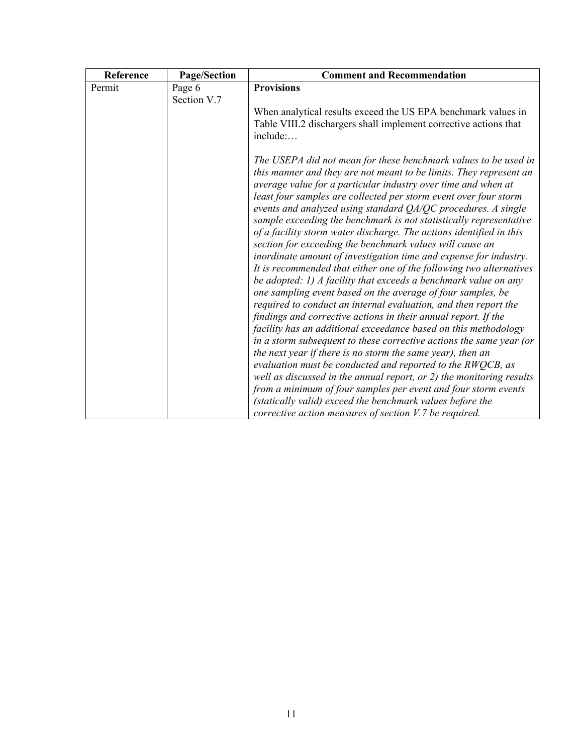| Reference | Page/Section | <b>Comment and Recommendation</b>                                                                                                                                                                                                                                                                                                                                                                                                                                                                                                                                                                                                                                                                                                                                                                                                                                                                                                                                                                                                          |
|-----------|--------------|--------------------------------------------------------------------------------------------------------------------------------------------------------------------------------------------------------------------------------------------------------------------------------------------------------------------------------------------------------------------------------------------------------------------------------------------------------------------------------------------------------------------------------------------------------------------------------------------------------------------------------------------------------------------------------------------------------------------------------------------------------------------------------------------------------------------------------------------------------------------------------------------------------------------------------------------------------------------------------------------------------------------------------------------|
| Permit    | Page 6       | <b>Provisions</b>                                                                                                                                                                                                                                                                                                                                                                                                                                                                                                                                                                                                                                                                                                                                                                                                                                                                                                                                                                                                                          |
|           | Section V.7  |                                                                                                                                                                                                                                                                                                                                                                                                                                                                                                                                                                                                                                                                                                                                                                                                                                                                                                                                                                                                                                            |
|           |              | When analytical results exceed the US EPA benchmark values in<br>Table VIII.2 dischargers shall implement corrective actions that<br>include:                                                                                                                                                                                                                                                                                                                                                                                                                                                                                                                                                                                                                                                                                                                                                                                                                                                                                              |
|           |              | The USEPA did not mean for these benchmark values to be used in<br>this manner and they are not meant to be limits. They represent an<br>average value for a particular industry over time and when at<br>least four samples are collected per storm event over four storm<br>events and analyzed using standard QA/QC procedures. A single<br>sample exceeding the benchmark is not statistically representative<br>of a facility storm water discharge. The actions identified in this<br>section for exceeding the benchmark values will cause an<br>inordinate amount of investigation time and expense for industry.<br>It is recommended that either one of the following two alternatives<br>be adopted: 1) A facility that exceeds a benchmark value on any<br>one sampling event based on the average of four samples, be<br>required to conduct an internal evaluation, and then report the<br>findings and corrective actions in their annual report. If the<br>facility has an additional exceedance based on this methodology |
|           |              | in a storm subsequent to these corrective actions the same year (or                                                                                                                                                                                                                                                                                                                                                                                                                                                                                                                                                                                                                                                                                                                                                                                                                                                                                                                                                                        |
|           |              | the next year if there is no storm the same year), then an                                                                                                                                                                                                                                                                                                                                                                                                                                                                                                                                                                                                                                                                                                                                                                                                                                                                                                                                                                                 |
|           |              | evaluation must be conducted and reported to the $RWQCB$ , as                                                                                                                                                                                                                                                                                                                                                                                                                                                                                                                                                                                                                                                                                                                                                                                                                                                                                                                                                                              |
|           |              | well as discussed in the annual report, or 2) the monitoring results                                                                                                                                                                                                                                                                                                                                                                                                                                                                                                                                                                                                                                                                                                                                                                                                                                                                                                                                                                       |
|           |              | from a minimum of four samples per event and four storm events                                                                                                                                                                                                                                                                                                                                                                                                                                                                                                                                                                                                                                                                                                                                                                                                                                                                                                                                                                             |
|           |              | (statically valid) exceed the benchmark values before the                                                                                                                                                                                                                                                                                                                                                                                                                                                                                                                                                                                                                                                                                                                                                                                                                                                                                                                                                                                  |
|           |              | corrective action measures of section V.7 be required.                                                                                                                                                                                                                                                                                                                                                                                                                                                                                                                                                                                                                                                                                                                                                                                                                                                                                                                                                                                     |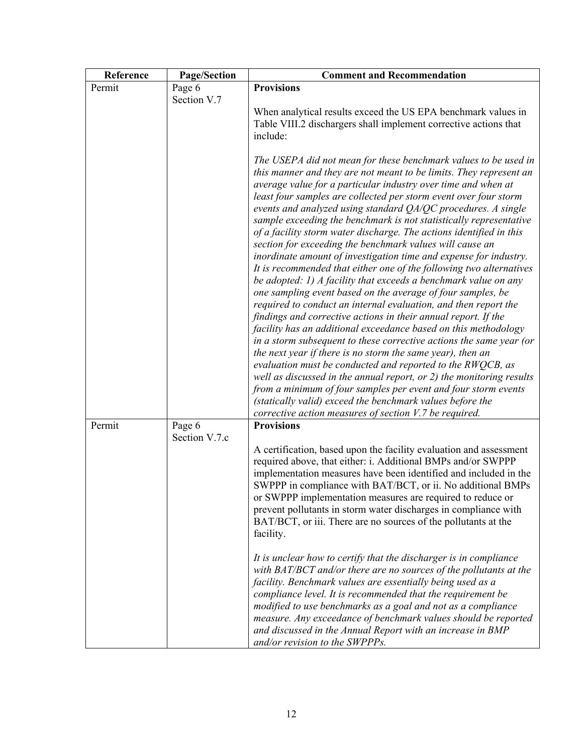| Reference | <b>Page/Section</b> | <b>Comment and Recommendation</b>                                                                                                                                                                                                                                                                                                                                                                                                                                                                                                                                                                                                                                                                                                                                                                                                                                                                                                                                                                                                                                                                                                                                                                                                                                                                                                                                                                                                                       |
|-----------|---------------------|---------------------------------------------------------------------------------------------------------------------------------------------------------------------------------------------------------------------------------------------------------------------------------------------------------------------------------------------------------------------------------------------------------------------------------------------------------------------------------------------------------------------------------------------------------------------------------------------------------------------------------------------------------------------------------------------------------------------------------------------------------------------------------------------------------------------------------------------------------------------------------------------------------------------------------------------------------------------------------------------------------------------------------------------------------------------------------------------------------------------------------------------------------------------------------------------------------------------------------------------------------------------------------------------------------------------------------------------------------------------------------------------------------------------------------------------------------|
| Permit    | Page 6              | <b>Provisions</b>                                                                                                                                                                                                                                                                                                                                                                                                                                                                                                                                                                                                                                                                                                                                                                                                                                                                                                                                                                                                                                                                                                                                                                                                                                                                                                                                                                                                                                       |
|           | Section V.7         | When analytical results exceed the US EPA benchmark values in                                                                                                                                                                                                                                                                                                                                                                                                                                                                                                                                                                                                                                                                                                                                                                                                                                                                                                                                                                                                                                                                                                                                                                                                                                                                                                                                                                                           |
|           |                     | Table VIII.2 dischargers shall implement corrective actions that                                                                                                                                                                                                                                                                                                                                                                                                                                                                                                                                                                                                                                                                                                                                                                                                                                                                                                                                                                                                                                                                                                                                                                                                                                                                                                                                                                                        |
|           |                     | include:                                                                                                                                                                                                                                                                                                                                                                                                                                                                                                                                                                                                                                                                                                                                                                                                                                                                                                                                                                                                                                                                                                                                                                                                                                                                                                                                                                                                                                                |
|           |                     | The USEPA did not mean for these benchmark values to be used in<br>this manner and they are not meant to be limits. They represent an<br>average value for a particular industry over time and when at<br>least four samples are collected per storm event over four storm<br>events and analyzed using standard QA/QC procedures. A single<br>sample exceeding the benchmark is not statistically representative<br>of a facility storm water discharge. The actions identified in this<br>section for exceeding the benchmark values will cause an<br>inordinate amount of investigation time and expense for industry.<br>It is recommended that either one of the following two alternatives<br>be adopted: 1) A facility that exceeds a benchmark value on any<br>one sampling event based on the average of four samples, be<br>required to conduct an internal evaluation, and then report the<br>findings and corrective actions in their annual report. If the<br>facility has an additional exceedance based on this methodology<br>in a storm subsequent to these corrective actions the same year (or<br>the next year if there is no storm the same year), then an<br>evaluation must be conducted and reported to the RWQCB, as<br>well as discussed in the annual report, or $2$ ) the monitoring results<br>from a minimum of four samples per event and four storm events<br>(statically valid) exceed the benchmark values before the |
| Permit    | Page 6              | corrective action measures of section V.7 be required.<br><b>Provisions</b>                                                                                                                                                                                                                                                                                                                                                                                                                                                                                                                                                                                                                                                                                                                                                                                                                                                                                                                                                                                                                                                                                                                                                                                                                                                                                                                                                                             |
|           | Section V.7.c       |                                                                                                                                                                                                                                                                                                                                                                                                                                                                                                                                                                                                                                                                                                                                                                                                                                                                                                                                                                                                                                                                                                                                                                                                                                                                                                                                                                                                                                                         |
|           |                     | A certification, based upon the facility evaluation and assessment<br>required above, that either: i. Additional BMPs and/or SWPPP<br>implementation measures have been identified and included in the<br>SWPPP in compliance with BAT/BCT, or ii. No additional BMPs<br>or SWPPP implementation measures are required to reduce or<br>prevent pollutants in storm water discharges in compliance with<br>BAT/BCT, or iii. There are no sources of the pollutants at the<br>facility.                                                                                                                                                                                                                                                                                                                                                                                                                                                                                                                                                                                                                                                                                                                                                                                                                                                                                                                                                                   |
|           |                     | It is unclear how to certify that the discharger is in compliance<br>with BAT/BCT and/or there are no sources of the pollutants at the<br>facility. Benchmark values are essentially being used as a<br>compliance level. It is recommended that the requirement be<br>modified to use benchmarks as a goal and not as a compliance<br>measure. Any exceedance of benchmark values should be reported<br>and discussed in the Annual Report with an increase in BMP<br>and/or revision to the SWPPPs.                                                                                                                                                                                                                                                                                                                                                                                                                                                                                                                                                                                                                                                                                                                                                                                                                                                                                                                                                   |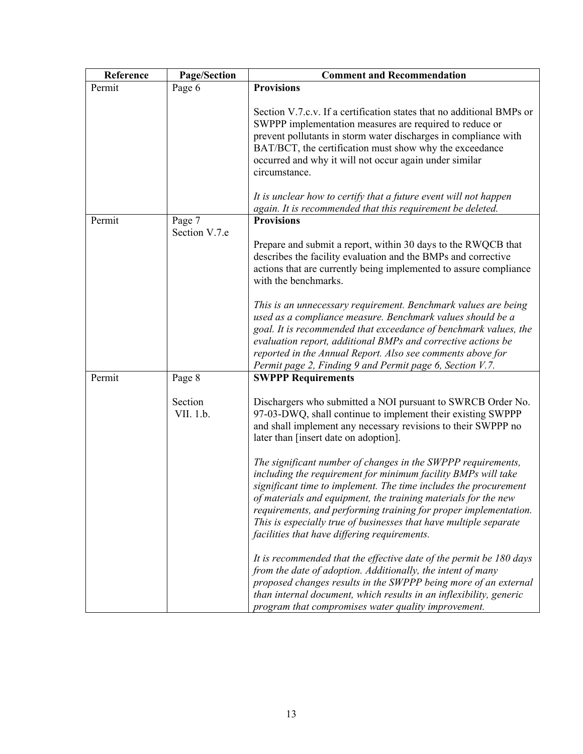| Reference | Page/Section         | <b>Comment and Recommendation</b>                                                                                                                                                                                                                                                                                                                                                                                                                            |
|-----------|----------------------|--------------------------------------------------------------------------------------------------------------------------------------------------------------------------------------------------------------------------------------------------------------------------------------------------------------------------------------------------------------------------------------------------------------------------------------------------------------|
| Permit    | Page 6               | <b>Provisions</b>                                                                                                                                                                                                                                                                                                                                                                                                                                            |
|           |                      | Section V.7.c.v. If a certification states that no additional BMPs or<br>SWPPP implementation measures are required to reduce or<br>prevent pollutants in storm water discharges in compliance with<br>BAT/BCT, the certification must show why the exceedance<br>occurred and why it will not occur again under similar<br>circumstance.                                                                                                                    |
|           |                      | It is unclear how to certify that a future event will not happen<br>again. It is recommended that this requirement be deleted.                                                                                                                                                                                                                                                                                                                               |
| Permit    | Page 7               | <b>Provisions</b>                                                                                                                                                                                                                                                                                                                                                                                                                                            |
|           | Section V.7.e        |                                                                                                                                                                                                                                                                                                                                                                                                                                                              |
|           |                      | Prepare and submit a report, within 30 days to the RWQCB that<br>describes the facility evaluation and the BMPs and corrective<br>actions that are currently being implemented to assure compliance<br>with the benchmarks.                                                                                                                                                                                                                                  |
|           |                      | This is an unnecessary requirement. Benchmark values are being<br>used as a compliance measure. Benchmark values should be a<br>goal. It is recommended that exceedance of benchmark values, the<br>evaluation report, additional BMPs and corrective actions be<br>reported in the Annual Report. Also see comments above for<br>Permit page 2, Finding 9 and Permit page 6, Section V.7.                                                                   |
| Permit    | Page 8               | <b>SWPPP Requirements</b>                                                                                                                                                                                                                                                                                                                                                                                                                                    |
|           | Section<br>VII. 1.b. | Dischargers who submitted a NOI pursuant to SWRCB Order No.<br>97-03-DWQ, shall continue to implement their existing SWPPP<br>and shall implement any necessary revisions to their SWPPP no<br>later than [insert date on adoption].                                                                                                                                                                                                                         |
|           |                      | The significant number of changes in the SWPPP requirements,<br>including the requirement for minimum facility BMPs will take<br>significant time to implement. The time includes the procurement<br>of materials and equipment, the training materials for the new<br>requirements, and performing training for proper implementation.<br>This is especially true of businesses that have multiple separate<br>facilities that have differing requirements. |
|           |                      | It is recommended that the effective date of the permit be 180 days<br>from the date of adoption. Additionally, the intent of many<br>proposed changes results in the SWPPP being more of an external<br>than internal document, which results in an inflexibility, generic<br>program that compromises water quality improvement.                                                                                                                           |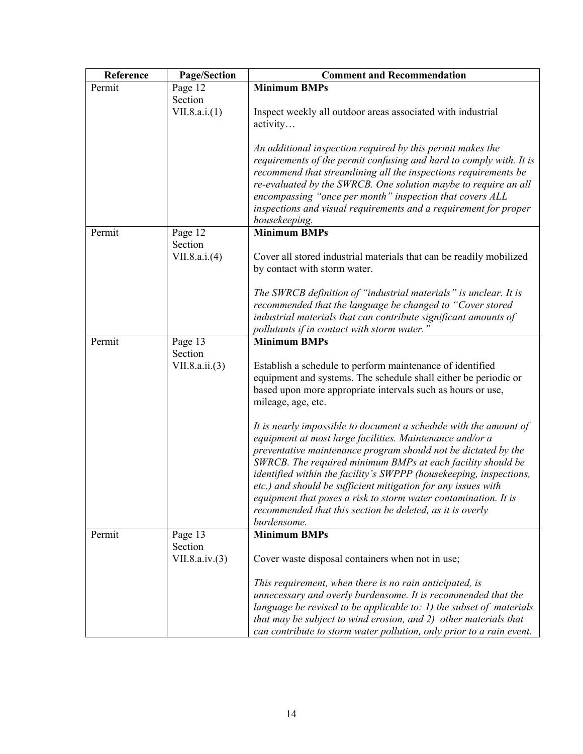| Reference | <b>Page/Section</b> | <b>Comment and Recommendation</b>                                                                                                |
|-----------|---------------------|----------------------------------------------------------------------------------------------------------------------------------|
| Permit    | Page 12             | <b>Minimum BMPs</b>                                                                                                              |
|           | Section             |                                                                                                                                  |
|           | VII.8.a.i.(1)       | Inspect weekly all outdoor areas associated with industrial                                                                      |
|           |                     | activity                                                                                                                         |
|           |                     | An additional inspection required by this permit makes the                                                                       |
|           |                     | requirements of the permit confusing and hard to comply with. It is                                                              |
|           |                     | recommend that streamlining all the inspections requirements be                                                                  |
|           |                     | re-evaluated by the SWRCB. One solution maybe to require an all                                                                  |
|           |                     | encompassing "once per month" inspection that covers ALL                                                                         |
|           |                     | inspections and visual requirements and a requirement for proper                                                                 |
|           |                     | housekeeping.                                                                                                                    |
| Permit    | Page 12             | <b>Minimum BMPs</b>                                                                                                              |
|           | Section             |                                                                                                                                  |
|           | VII.8.a.i.(4)       | Cover all stored industrial materials that can be readily mobilized<br>by contact with storm water.                              |
|           |                     |                                                                                                                                  |
|           |                     | The SWRCB definition of "industrial materials" is unclear. It is                                                                 |
|           |                     | recommended that the language be changed to "Cover stored                                                                        |
|           |                     | industrial materials that can contribute significant amounts of                                                                  |
|           |                     | pollutants if in contact with storm water.                                                                                       |
| Permit    | Page 13             | <b>Minimum BMPs</b>                                                                                                              |
|           | Section             |                                                                                                                                  |
|           | VII.8.a.ii. (3)     | Establish a schedule to perform maintenance of identified<br>equipment and systems. The schedule shall either be periodic or     |
|           |                     | based upon more appropriate intervals such as hours or use,                                                                      |
|           |                     | mileage, age, etc.                                                                                                               |
|           |                     |                                                                                                                                  |
|           |                     | It is nearly impossible to document a schedule with the amount of                                                                |
|           |                     | equipment at most large facilities. Maintenance and/or a                                                                         |
|           |                     | preventative maintenance program should not be dictated by the                                                                   |
|           |                     | SWRCB. The required minimum BMPs at each facility should be                                                                      |
|           |                     | identified within the facility's SWPPP (housekeeping, inspections,                                                               |
|           |                     | etc.) and should be sufficient mitigation for any issues with<br>equipment that poses a risk to storm water contamination. It is |
|           |                     | recommended that this section be deleted, as it is overly                                                                        |
|           |                     | burdensome.                                                                                                                      |
| Permit    | Page 13             | <b>Minimum BMPs</b>                                                                                                              |
|           | Section             |                                                                                                                                  |
|           | VII.8.a.iv.(3)      | Cover waste disposal containers when not in use;                                                                                 |
|           |                     | This requirement, when there is no rain anticipated, is                                                                          |
|           |                     | unnecessary and overly burdensome. It is recommended that the                                                                    |
|           |                     | language be revised to be applicable to: $I$ ) the subset of materials                                                           |
|           |                     | that may be subject to wind erosion, and 2) other materials that                                                                 |
|           |                     | can contribute to storm water pollution, only prior to a rain event.                                                             |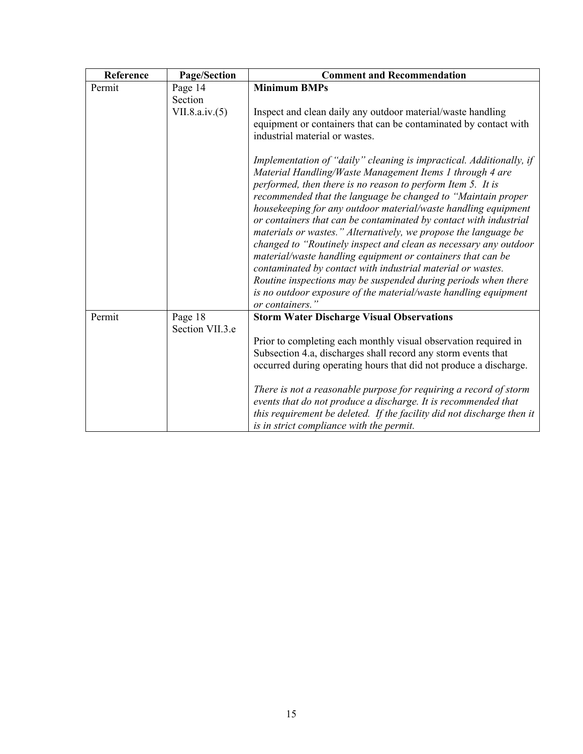| Reference | Page/Section      | <b>Comment and Recommendation</b>                                                                                                                                                                                                                                                                                                                                                                                                                                                                                                                                                                                                                                                                                                                                                                                                  |
|-----------|-------------------|------------------------------------------------------------------------------------------------------------------------------------------------------------------------------------------------------------------------------------------------------------------------------------------------------------------------------------------------------------------------------------------------------------------------------------------------------------------------------------------------------------------------------------------------------------------------------------------------------------------------------------------------------------------------------------------------------------------------------------------------------------------------------------------------------------------------------------|
| Permit    | Page 14           | <b>Minimum BMPs</b>                                                                                                                                                                                                                                                                                                                                                                                                                                                                                                                                                                                                                                                                                                                                                                                                                |
|           | Section           |                                                                                                                                                                                                                                                                                                                                                                                                                                                                                                                                                                                                                                                                                                                                                                                                                                    |
|           | VII.8.a.iv. $(5)$ | Inspect and clean daily any outdoor material/waste handling<br>equipment or containers that can be contaminated by contact with<br>industrial material or wastes.                                                                                                                                                                                                                                                                                                                                                                                                                                                                                                                                                                                                                                                                  |
|           |                   | Implementation of "daily" cleaning is impractical. Additionally, if<br>Material Handling/Waste Management Items 1 through 4 are<br>performed, then there is no reason to perform Item 5. It is<br>recommended that the language be changed to "Maintain proper<br>housekeeping for any outdoor material/waste handling equipment<br>or containers that can be contaminated by contact with industrial<br>materials or wastes." Alternatively, we propose the language be<br>changed to "Routinely inspect and clean as necessary any outdoor<br>material/waste handling equipment or containers that can be<br>contaminated by contact with industrial material or wastes.<br>Routine inspections may be suspended during periods when there<br>is no outdoor exposure of the material/waste handling equipment<br>or containers.' |
| Permit    | Page 18           | <b>Storm Water Discharge Visual Observations</b>                                                                                                                                                                                                                                                                                                                                                                                                                                                                                                                                                                                                                                                                                                                                                                                   |
|           | Section VII.3.e   |                                                                                                                                                                                                                                                                                                                                                                                                                                                                                                                                                                                                                                                                                                                                                                                                                                    |
|           |                   | Prior to completing each monthly visual observation required in<br>Subsection 4.a, discharges shall record any storm events that<br>occurred during operating hours that did not produce a discharge.                                                                                                                                                                                                                                                                                                                                                                                                                                                                                                                                                                                                                              |
|           |                   | There is not a reasonable purpose for requiring a record of storm<br>events that do not produce a discharge. It is recommended that<br>this requirement be deleted. If the facility did not discharge then it<br>is in strict compliance with the permit.                                                                                                                                                                                                                                                                                                                                                                                                                                                                                                                                                                          |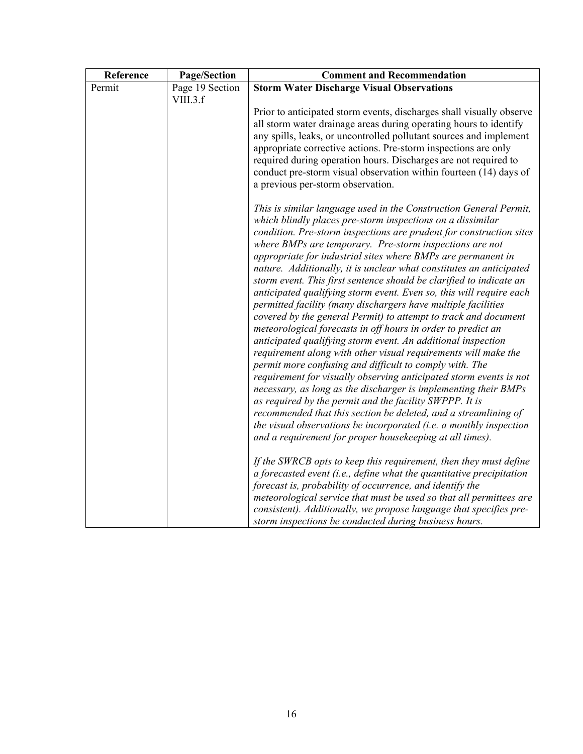| Reference | Page/Section    | <b>Comment and Recommendation</b>                                                                                                                                                                                                                                                                                                                                                                                                                                                                                                                                                                                                                                                                                                                                                                                                                                                                                                                                                                                                                                                                                                                                                                                                                                                                    |
|-----------|-----------------|------------------------------------------------------------------------------------------------------------------------------------------------------------------------------------------------------------------------------------------------------------------------------------------------------------------------------------------------------------------------------------------------------------------------------------------------------------------------------------------------------------------------------------------------------------------------------------------------------------------------------------------------------------------------------------------------------------------------------------------------------------------------------------------------------------------------------------------------------------------------------------------------------------------------------------------------------------------------------------------------------------------------------------------------------------------------------------------------------------------------------------------------------------------------------------------------------------------------------------------------------------------------------------------------------|
| Permit    | Page 19 Section | <b>Storm Water Discharge Visual Observations</b>                                                                                                                                                                                                                                                                                                                                                                                                                                                                                                                                                                                                                                                                                                                                                                                                                                                                                                                                                                                                                                                                                                                                                                                                                                                     |
|           | VIII.3.f        |                                                                                                                                                                                                                                                                                                                                                                                                                                                                                                                                                                                                                                                                                                                                                                                                                                                                                                                                                                                                                                                                                                                                                                                                                                                                                                      |
|           |                 | Prior to anticipated storm events, discharges shall visually observe<br>all storm water drainage areas during operating hours to identify<br>any spills, leaks, or uncontrolled pollutant sources and implement<br>appropriate corrective actions. Pre-storm inspections are only                                                                                                                                                                                                                                                                                                                                                                                                                                                                                                                                                                                                                                                                                                                                                                                                                                                                                                                                                                                                                    |
|           |                 | required during operation hours. Discharges are not required to<br>conduct pre-storm visual observation within fourteen (14) days of<br>a previous per-storm observation.                                                                                                                                                                                                                                                                                                                                                                                                                                                                                                                                                                                                                                                                                                                                                                                                                                                                                                                                                                                                                                                                                                                            |
|           |                 | This is similar language used in the Construction General Permit,<br>which blindly places pre-storm inspections on a dissimilar<br>condition. Pre-storm inspections are prudent for construction sites<br>where BMPs are temporary. Pre-storm inspections are not<br>appropriate for industrial sites where BMPs are permanent in<br>nature. Additionally, it is unclear what constitutes an anticipated<br>storm event. This first sentence should be clarified to indicate an<br>anticipated qualifying storm event. Even so, this will require each<br>permitted facility (many dischargers have multiple facilities<br>covered by the general Permit) to attempt to track and document<br>meteorological forecasts in off hours in order to predict an<br>anticipated qualifying storm event. An additional inspection<br>requirement along with other visual requirements will make the<br>permit more confusing and difficult to comply with. The<br>requirement for visually observing anticipated storm events is not<br>necessary, as long as the discharger is implementing their BMPs<br>as required by the permit and the facility SWPPP. It is<br>recommended that this section be deleted, and a streamlining of<br>the visual observations be incorporated (i.e. a monthly inspection |
|           |                 | and a requirement for proper housekeeping at all times).                                                                                                                                                                                                                                                                                                                                                                                                                                                                                                                                                                                                                                                                                                                                                                                                                                                                                                                                                                                                                                                                                                                                                                                                                                             |
|           |                 | If the SWRCB opts to keep this requirement, then they must define<br>a forecasted event (i.e., define what the quantitative precipitation<br>forecast is, probability of occurrence, and identify the<br>meteorological service that must be used so that all permittees are                                                                                                                                                                                                                                                                                                                                                                                                                                                                                                                                                                                                                                                                                                                                                                                                                                                                                                                                                                                                                         |
|           |                 | consistent). Additionally, we propose language that specifies pre-<br>storm inspections be conducted during business hours.                                                                                                                                                                                                                                                                                                                                                                                                                                                                                                                                                                                                                                                                                                                                                                                                                                                                                                                                                                                                                                                                                                                                                                          |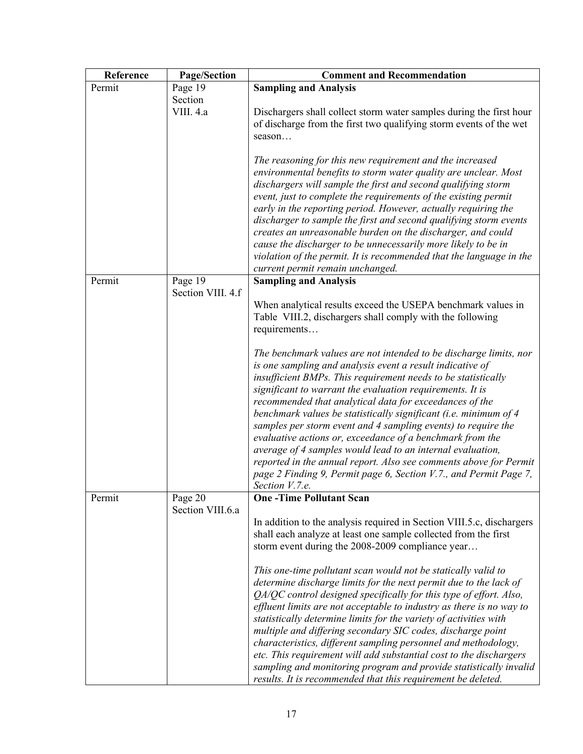| Reference | Page/Section      | <b>Comment and Recommendation</b>                                                                                                    |
|-----------|-------------------|--------------------------------------------------------------------------------------------------------------------------------------|
| Permit    | Page 19           | <b>Sampling and Analysis</b>                                                                                                         |
|           | Section           |                                                                                                                                      |
|           | VIII. 4.a         | Dischargers shall collect storm water samples during the first hour                                                                  |
|           |                   | of discharge from the first two qualifying storm events of the wet<br>season                                                         |
|           |                   |                                                                                                                                      |
|           |                   | The reasoning for this new requirement and the increased                                                                             |
|           |                   | environmental benefits to storm water quality are unclear. Most                                                                      |
|           |                   | dischargers will sample the first and second qualifying storm                                                                        |
|           |                   | event, just to complete the requirements of the existing permit                                                                      |
|           |                   | early in the reporting period. However, actually requiring the                                                                       |
|           |                   | discharger to sample the first and second qualifying storm events<br>creates an unreasonable burden on the discharger, and could     |
|           |                   | cause the discharger to be unnecessarily more likely to be in                                                                        |
|           |                   | violation of the permit. It is recommended that the language in the                                                                  |
|           |                   | current permit remain unchanged.                                                                                                     |
| Permit    | Page 19           | <b>Sampling and Analysis</b>                                                                                                         |
|           | Section VIII. 4.f |                                                                                                                                      |
|           |                   | When analytical results exceed the USEPA benchmark values in<br>Table VIII.2, dischargers shall comply with the following            |
|           |                   | requirements                                                                                                                         |
|           |                   |                                                                                                                                      |
|           |                   | The benchmark values are not intended to be discharge limits, nor                                                                    |
|           |                   | is one sampling and analysis event a result indicative of                                                                            |
|           |                   | insufficient BMPs. This requirement needs to be statistically                                                                        |
|           |                   | significant to warrant the evaluation requirements. It is<br>recommended that analytical data for exceedances of the                 |
|           |                   | benchmark values be statistically significant (i.e. minimum of 4                                                                     |
|           |                   | samples per storm event and 4 sampling events) to require the                                                                        |
|           |                   | evaluative actions or, exceedance of a benchmark from the                                                                            |
|           |                   | average of 4 samples would lead to an internal evaluation,                                                                           |
|           |                   | reported in the annual report. Also see comments above for Permit                                                                    |
|           |                   | page 2 Finding 9, Permit page 6, Section V.7., and Permit Page 7,<br>Section V.7.e.                                                  |
| Permit    | Page 20           | <b>One-Time Pollutant Scan</b>                                                                                                       |
|           | Section VIII.6.a  |                                                                                                                                      |
|           |                   | In addition to the analysis required in Section VIII.5.c, dischargers                                                                |
|           |                   | shall each analyze at least one sample collected from the first                                                                      |
|           |                   | storm event during the 2008-2009 compliance year                                                                                     |
|           |                   | This one-time pollutant scan would not be statically valid to                                                                        |
|           |                   | determine discharge limits for the next permit due to the lack of                                                                    |
|           |                   | QA/QC control designed specifically for this type of effort. Also,                                                                   |
|           |                   | effluent limits are not acceptable to industry as there is no way to                                                                 |
|           |                   | statistically determine limits for the variety of activities with                                                                    |
|           |                   | multiple and differing secondary SIC codes, discharge point                                                                          |
|           |                   | characteristics, different sampling personnel and methodology,<br>etc. This requirement will add substantial cost to the dischargers |
|           |                   | sampling and monitoring program and provide statistically invalid                                                                    |
|           |                   | results. It is recommended that this requirement be deleted.                                                                         |